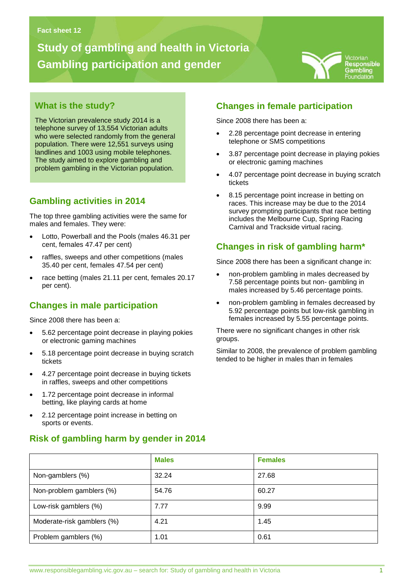# **Study of gambling and health in Victoria Gambling participation and gender**



## **What is the study?**

The Victorian prevalence study 2014 is a telephone survey of 13,554 Victorian adults who were selected randomly from the general population. There were 12,551 surveys using landlines and 1003 using mobile telephones. The study aimed to explore gambling and problem gambling in the Victorian population.

**Gambling problems in Victoria**

### **Gambling activities in 2014**

The top three gambling activities were the same for males and females. They were:

- Lotto, Powerball and the Pools (males 46.31 per cent, females 47.47 per cent)
- raffles, sweeps and other competitions (males 35.40 per cent, females 47.54 per cent)
- race betting (males 21.11 per cent, females 20.17 per cent).

### **Changes in male participation**

Since 2008 there has been a:

- 5.62 percentage point decrease in playing pokies or electronic gaming machines
- 5.18 percentage point decrease in buying scratch tickets
- 4.27 percentage point decrease in buying tickets in raffles, sweeps and other competitions
- 1.72 percentage point decrease in informal betting, like playing cards at home
- 2.12 percentage point increase in betting on sports or events.

#### **Risk of gambling harm by gender in 2014**

### **Changes in female participation**

Since 2008 there has been a:

- 2.28 percentage point decrease in entering telephone or SMS competitions
- 3.87 percentage point decrease in playing pokies or electronic gaming machines
- 4.07 percentage point decrease in buying scratch tickets
- 8.15 percentage point increase in betting on races. This increase may be due to the 2014 survey prompting participants that race betting includes the Melbourne Cup, Spring Racing Carnival and Trackside virtual racing.

# **Changes in risk of gambling harm\***

Since 2008 there has been a significant change in:

- non-problem gambling in males decreased by 7.58 percentage points but non- gambling in males increased by 5.46 percentage points.
- non-problem gambling in females decreased by 5.92 percentage points but low-risk gambling in females increased by 5.55 percentage points.

There were no significant changes in other risk groups.

Similar to 2008, the prevalence of problem gambling tended to be higher in males than in females

|                            | <b>Males</b> | <b>Females</b> |
|----------------------------|--------------|----------------|
| Non-gamblers (%)           | 32.24        | 27.68          |
| Non-problem gamblers (%)   | 54.76        | 60.27          |
| Low-risk gamblers (%)      | 7.77         | 9.99           |
| Moderate-risk gamblers (%) | 4.21         | 1.45           |
| Problem gamblers (%)       | 1.01         | 0.61           |